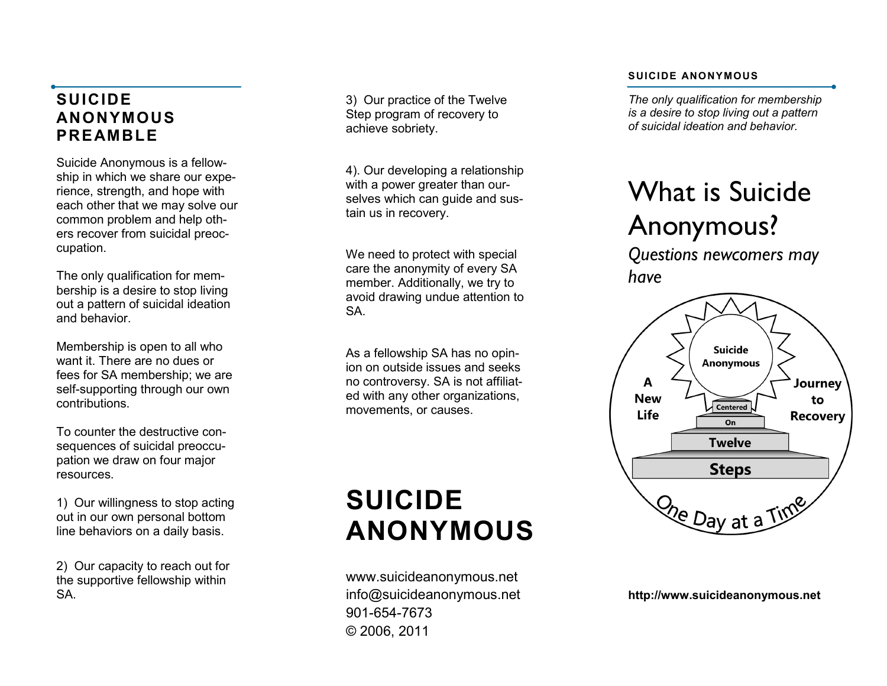# **SUICIDE ANONYMOUS PR E A M B L E**

Suicide Anonymous is a fellowship in which we share our experience, strength, and hope with each other that we may solve our common problem and help others recover from suicidal preoccupation.

The only qualification for membership is a desire to stop living out a pattern of suicidal ideation and behavior.

Membership is open to all who want it. There are no dues or fees for SA membership; we are self -supporting through our own contributions.

To counter the destructive consequences of suicidal preoccupation we draw on four major resources.

1) Our willingness to stop acting out in our own personal bottom line behaviors on a daily basis.

2) Our capacity to reach out for the supportive fellowship within SA.

3) Our practice of the Twelve Step program of recovery to achieve sobriety.

4). Our developing a relationship with a power greater than ourselves which can guide and sustain us in recovery.

We need to protect with special care the anonymity of every SA member. Additionally, we try to avoid drawing undue attention to SA.

As a fellowship SA has no opinion on outside issues and seeks no controversy. SA is not affiliated with any other organizations, movements, or causes.

# **SUICIDE ANONYMOUS**

www.suicideanonymous.net info@suicideanonymous.net 901 -654 -7673 © 2006, 2011

#### **SUICIDE ANONYMOUS**

*The only qualification for membership is a desire to stop living out a pattern of suicidal ideation and behavior.*

# What is Suicide Anonymous?

*Questions newcomers may have*



**http://www.suicideanonymous.net**